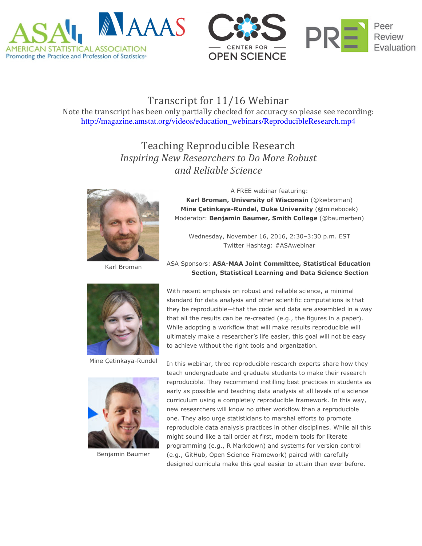



## Transcript for 11/16 Webinar

Note the transcript has been only partially checked for accuracy so please see recording: http://magazine.amstat.org/videos/education\_webinars/ReproducibleResearch.mp4

> Teaching Reproducible Research Inspiring New Researchers to Do More Robust and Reliable Science



Karl Broman

A FREE webinar featuring: Karl Broman, University of Wisconsin (@kwbroman) Mine Çetinkaya-Rundel, Duke University (@minebocek) Moderator: Benjamin Baumer, Smith College (@baumerben)

Wednesday, November 16, 2016, 2:30–3:30 p.m. EST Twitter Hashtag: #ASAwebinar

## ASA Sponsors: ASA-MAA Joint Committee, Statistical Education Section, Statistical Learning and Data Science Section



Mine Çetinkaya-Rundel



Benjamin Baumer

With recent emphasis on robust and reliable science, a minimal standard for data analysis and other scientific computations is that they be reproducible—that the code and data are assembled in a way that all the results can be re-created (e.g., the figures in a paper). While adopting a workflow that will make results reproducible will ultimately make a researcher's life easier, this goal will not be easy to achieve without the right tools and organization.

In this webinar, three reproducible research experts share how they teach undergraduate and graduate students to make their research reproducible. They recommend instilling best practices in students as early as possible and teaching data analysis at all levels of a science curriculum using a completely reproducible framework. In this way, new researchers will know no other workflow than a reproducible one. They also urge statisticians to marshal efforts to promote reproducible data analysis practices in other disciplines. While all this might sound like a tall order at first, modern tools for literate programming (e.g., R Markdown) and systems for version control (e.g., GitHub, Open Science Framework) paired with carefully designed curricula make this goal easier to attain than ever before.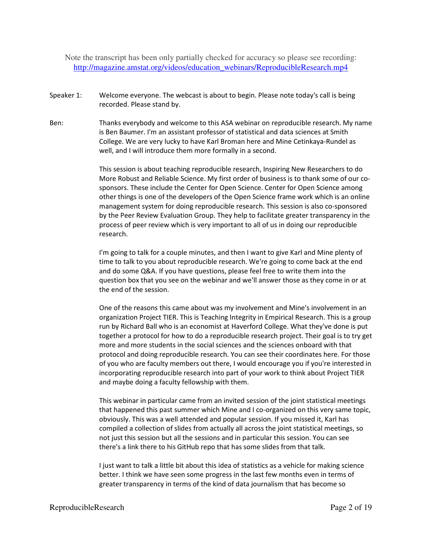Note the transcript has been only partially checked for accuracy so please see recording: http://magazine.amstat.org/videos/education\_webinars/ReproducibleResearch.mp4

- Speaker 1: Welcome everyone. The webcast is about to begin. Please note today's call is being recorded. Please stand by.
- Ben: Thanks everybody and welcome to this ASA webinar on reproducible research. My name is Ben Baumer. I'm an assistant professor of statistical and data sciences at Smith College. We are very lucky to have Karl Broman here and Mine Cetinkaya-Rundel as well, and I will introduce them more formally in a second.

This session is about teaching reproducible research, Inspiring New Researchers to do More Robust and Reliable Science. My first order of business is to thank some of our cosponsors. These include the Center for Open Science. Center for Open Science among other things is one of the developers of the Open Science frame work which is an online management system for doing reproducible research. This session is also co-sponsored by the Peer Review Evaluation Group. They help to facilitate greater transparency in the process of peer review which is very important to all of us in doing our reproducible research.

I'm going to talk for a couple minutes, and then I want to give Karl and Mine plenty of time to talk to you about reproducible research. We're going to come back at the end and do some Q&A. If you have questions, please feel free to write them into the question box that you see on the webinar and we'll answer those as they come in or at the end of the session.

One of the reasons this came about was my involvement and Mine's involvement in an organization Project TIER. This is Teaching Integrity in Empirical Research. This is a group run by Richard Ball who is an economist at Haverford College. What they've done is put together a protocol for how to do a reproducible research project. Their goal is to try get more and more students in the social sciences and the sciences onboard with that protocol and doing reproducible research. You can see their coordinates here. For those of you who are faculty members out there, I would encourage you if you're interested in incorporating reproducible research into part of your work to think about Project TIER and maybe doing a faculty fellowship with them.

This webinar in particular came from an invited session of the joint statistical meetings that happened this past summer which Mine and I co-organized on this very same topic, obviously. This was a well attended and popular session. If you missed it, Karl has compiled a collection of slides from actually all across the joint statistical meetings, so not just this session but all the sessions and in particular this session. You can see there's a link there to his GitHub repo that has some slides from that talk.

I just want to talk a little bit about this idea of statistics as a vehicle for making science better. I think we have seen some progress in the last few months even in terms of greater transparency in terms of the kind of data journalism that has become so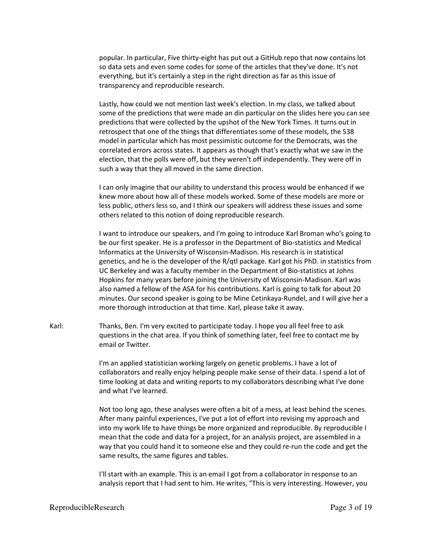popular. In particular, Five thirty-eight has put out a GitHub repo that now contains lot so data sets and even some codes for some of the articles that they've done. It's not everything, but it's certainly a step in the right direction as far as this issue of transparency and reproducible research.

Lastly, how could we not mention last week's election. In my class, we talked about some of the predictions that were made an din particular on the slides here you can see predictions that were collected by the upshot of the New York Times. It turns out in retrospect that one of the things that differentiates some of these models, the 538 model in particular which has most pessimistic outcome for the Democrats, was the correlated errors across states. It appears as though that's exactly what we saw in the election, that the polls were off, but they weren't off independently. They were off in such a way that they all moved in the same direction.

I can only imagine that our ability to understand this process would be enhanced if we knew more about how all of these models worked. Some of these models are more or less public, others less so, and I think our speakers will address these issues and some others related to this notion of doing reproducible research.

I want to introduce our speakers, and I'm going to introduce Karl Broman who's going to be our first speaker. He is a professor in the Department of Bio-statistics and Medical Informatics at the University of Wisconsin-Madison. His research is in statistical genetics, and he is the developer of the R/qtl package. Karl got his PhD. in statistics from UC Berkeley and was a faculty member in the Department of Bio-statistics at Johns Hopkins for many years before joining the University of Wisconsin-Madison. Karl was also named a fellow of the ASA for his contributions. Karl is going to talk for about 20 minutes. Our second speaker is going to be Mine Cetinkaya-Rundel, and I will give her a more thorough introduction at that time. Karl, please take it away.

Karl: Thanks, Ben. I'm very excited to participate today. I hope you all feel free to ask questions in the chat area. If you think of something later, feel free to contact me by email or Twitter.

> I'm an applied statistician working largely on genetic problems. I have a lot of collaborators and really enjoy helping people make sense of their data. I spend a lot of time looking at data and writing reports to my collaborators describing what I've done and what I've learned.

> Not too long ago, these analyses were often a bit of a mess, at least behind the scenes. After many painful experiences, I've put a lot of effort into revising my approach and into my work life to have things be more organized and reproducible. By reproducible I mean that the code and data for a project, for an analysis project, are assembled in a way that you could hand it to someone else and they could re-run the code and get the same results, the same figures and tables.

> I'll start with an example. This is an email I got from a collaborator in response to an analysis report that I had sent to him. He writes, "This is very interesting. However, you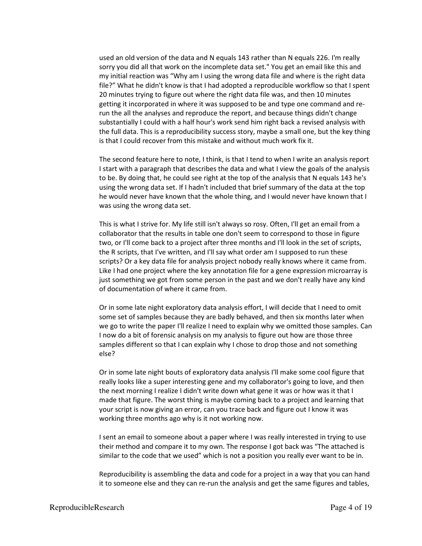used an old version of the data and N equals 143 rather than N equals 226. I'm really sorry you did all that work on the incomplete data set." You get an email like this and my initial reaction was "Why am I using the wrong data file and where is the right data file?" What he didn't know is that I had adopted a reproducible workflow so that I spent 20 minutes trying to figure out where the right data file was, and then 10 minutes getting it incorporated in where it was supposed to be and type one command and rerun the all the analyses and reproduce the report, and because things didn't change substantially I could with a half hour's work send him right back a revised analysis with the full data. This is a reproducibility success story, maybe a small one, but the key thing is that I could recover from this mistake and without much work fix it.

The second feature here to note, I think, is that I tend to when I write an analysis report I start with a paragraph that describes the data and what I view the goals of the analysis to be. By doing that, he could see right at the top of the analysis that N equals 143 he's using the wrong data set. If I hadn't included that brief summary of the data at the top he would never have known that the whole thing, and I would never have known that I was using the wrong data set.

This is what I strive for. My life still isn't always so rosy. Often, I'll get an email from a collaborator that the results in table one don't seem to correspond to those in figure two, or I'll come back to a project after three months and I'll look in the set of scripts, the R scripts, that I've written, and I'll say what order am I supposed to run these scripts? Or a key data file for analysis project nobody really knows where it came from. Like I had one project where the key annotation file for a gene expression microarray is just something we got from some person in the past and we don't really have any kind of documentation of where it came from.

Or in some late night exploratory data analysis effort, I will decide that I need to omit some set of samples because they are badly behaved, and then six months later when we go to write the paper I'll realize I need to explain why we omitted those samples. Can I now do a bit of forensic analysis on my analysis to figure out how are those three samples different so that I can explain why I chose to drop those and not something else?

Or in some late night bouts of exploratory data analysis I'll make some cool figure that really looks like a super interesting gene and my collaborator's going to love, and then the next morning I realize I didn't write down what gene it was or how was it that I made that figure. The worst thing is maybe coming back to a project and learning that your script is now giving an error, can you trace back and figure out I know it was working three months ago why is it not working now.

I sent an email to someone about a paper where I was really interested in trying to use their method and compare it to my own. The response I got back was "The attached is similar to the code that we used" which is not a position you really ever want to be in.

Reproducibility is assembling the data and code for a project in a way that you can hand it to someone else and they can re-run the analysis and get the same figures and tables,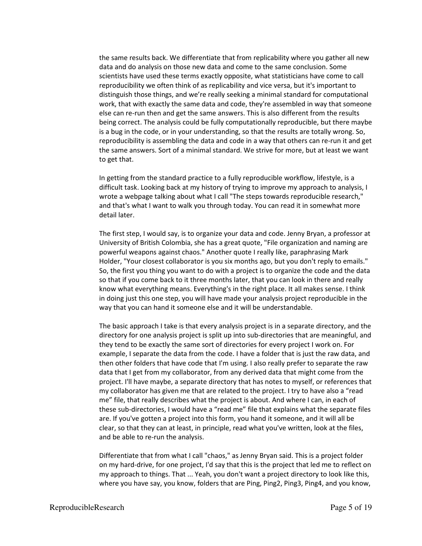the same results back. We differentiate that from replicability where you gather all new data and do analysis on those new data and come to the same conclusion. Some scientists have used these terms exactly opposite, what statisticians have come to call reproducibility we often think of as replicability and vice versa, but it's important to distinguish those things, and we're really seeking a minimal standard for computational work, that with exactly the same data and code, they're assembled in way that someone else can re-run then and get the same answers. This is also different from the results being correct. The analysis could be fully computationally reproducible, but there maybe is a bug in the code, or in your understanding, so that the results are totally wrong. So, reproducibility is assembling the data and code in a way that others can re-run it and get the same answers. Sort of a minimal standard. We strive for more, but at least we want to get that.

In getting from the standard practice to a fully reproducible workflow, lifestyle, is a difficult task. Looking back at my history of trying to improve my approach to analysis, I wrote a webpage talking about what I call "The steps towards reproducible research," and that's what I want to walk you through today. You can read it in somewhat more detail later.

The first step, I would say, is to organize your data and code. Jenny Bryan, a professor at University of British Colombia, she has a great quote, "File organization and naming are powerful weapons against chaos." Another quote I really like, paraphrasing Mark Holder, "Your closest collaborator is you six months ago, but you don't reply to emails." So, the first you thing you want to do with a project is to organize the code and the data so that if you come back to it three months later, that you can look in there and really know what everything means. Everything's in the right place. It all makes sense. I think in doing just this one step, you will have made your analysis project reproducible in the way that you can hand it someone else and it will be understandable.

The basic approach I take is that every analysis project is in a separate directory, and the directory for one analysis project is split up into sub-directories that are meaningful, and they tend to be exactly the same sort of directories for every project I work on. For example, I separate the data from the code. I have a folder that is just the raw data, and then other folders that have code that I'm using. I also really prefer to separate the raw data that I get from my collaborator, from any derived data that might come from the project. I'll have maybe, a separate directory that has notes to myself, or references that my collaborator has given me that are related to the project. I try to have also a "read me" file, that really describes what the project is about. And where I can, in each of these sub-directories, I would have a "read me" file that explains what the separate files are. If you've gotten a project into this form, you hand it someone, and it will all be clear, so that they can at least, in principle, read what you've written, look at the files, and be able to re-run the analysis.

Differentiate that from what I call "chaos," as Jenny Bryan said. This is a project folder on my hard-drive, for one project, I'd say that this is the project that led me to reflect on my approach to things. That ... Yeah, you don't want a project directory to look like this, where you have say, you know, folders that are Ping, Ping2, Ping3, Ping4, and you know,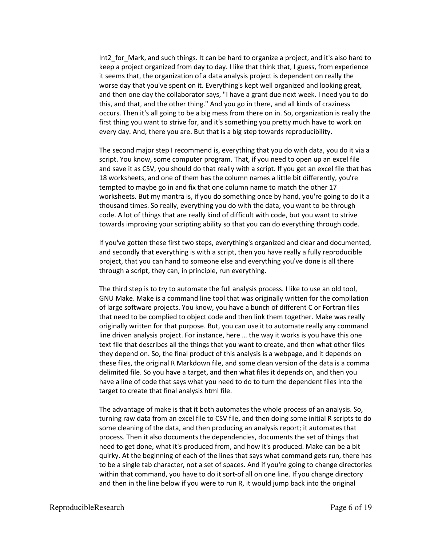Int2\_for\_Mark, and such things. It can be hard to organize a project, and it's also hard to keep a project organized from day to day. I like that think that, I guess, from experience it seems that, the organization of a data analysis project is dependent on really the worse day that you've spent on it. Everything's kept well organized and looking great, and then one day the collaborator says, "I have a grant due next week. I need you to do this, and that, and the other thing." And you go in there, and all kinds of craziness occurs. Then it's all going to be a big mess from there on in. So, organization is really the first thing you want to strive for, and it's something you pretty much have to work on every day. And, there you are. But that is a big step towards reproducibility.

The second major step I recommend is, everything that you do with data, you do it via a script. You know, some computer program. That, if you need to open up an excel file and save it as CSV, you should do that really with a script. If you get an excel file that has 18 worksheets, and one of them has the column names a little bit differently, you're tempted to maybe go in and fix that one column name to match the other 17 worksheets. But my mantra is, if you do something once by hand, you're going to do it a thousand times. So really, everything you do with the data, you want to be through code. A lot of things that are really kind of difficult with code, but you want to strive towards improving your scripting ability so that you can do everything through code.

If you've gotten these first two steps, everything's organized and clear and documented, and secondly that everything is with a script, then you have really a fully reproducible project, that you can hand to someone else and everything you've done is all there through a script, they can, in principle, run everything.

The third step is to try to automate the full analysis process. I like to use an old tool, GNU Make. Make is a command line tool that was originally written for the compilation of large software projects. You know, you have a bunch of different C or Fortran files that need to be complied to object code and then link them together. Make was really originally written for that purpose. But, you can use it to automate really any command line driven analysis project. For instance, here … the way it works is you have this one text file that describes all the things that you want to create, and then what other files they depend on. So, the final product of this analysis is a webpage, and it depends on these files, the original R Markdown file, and some clean version of the data is a comma delimited file. So you have a target, and then what files it depends on, and then you have a line of code that says what you need to do to turn the dependent files into the target to create that final analysis html file.

The advantage of make is that it both automates the whole process of an analysis. So, turning raw data from an excel file to CSV file, and then doing some initial R scripts to do some cleaning of the data, and then producing an analysis report; it automates that process. Then it also documents the dependencies, documents the set of things that need to get done, what it's produced from, and how it's produced. Make can be a bit quirky. At the beginning of each of the lines that says what command gets run, there has to be a single tab character, not a set of spaces. And if you're going to change directories within that command, you have to do it sort-of all on one line. If you change directory and then in the line below if you were to run R, it would jump back into the original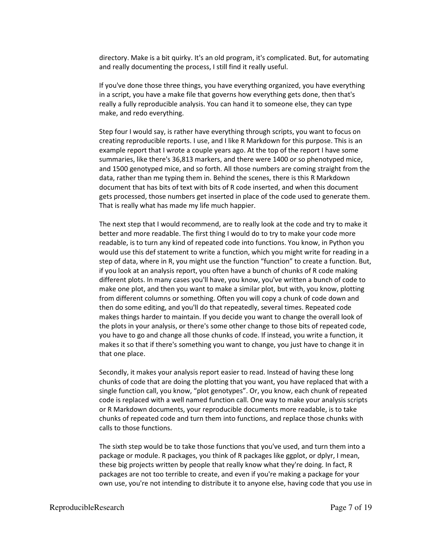directory. Make is a bit quirky. It's an old program, it's complicated. But, for automating and really documenting the process, I still find it really useful.

If you've done those three things, you have everything organized, you have everything in a script, you have a make file that governs how everything gets done, then that's really a fully reproducible analysis. You can hand it to someone else, they can type make, and redo everything.

Step four I would say, is rather have everything through scripts, you want to focus on creating reproducible reports. I use, and I like R Markdown for this purpose. This is an example report that I wrote a couple years ago. At the top of the report I have some summaries, like there's 36,813 markers, and there were 1400 or so phenotyped mice, and 1500 genotyped mice, and so forth. All those numbers are coming straight from the data, rather than me typing them in. Behind the scenes, there is this R Markdown document that has bits of text with bits of R code inserted, and when this document gets processed, those numbers get inserted in place of the code used to generate them. That is really what has made my life much happier.

The next step that I would recommend, are to really look at the code and try to make it better and more readable. The first thing I would do to try to make your code more readable, is to turn any kind of repeated code into functions. You know, in Python you would use this def statement to write a function, which you might write for reading in a step of data, where in R, you might use the function "function" to create a function. But, if you look at an analysis report, you often have a bunch of chunks of R code making different plots. In many cases you'll have, you know, you've written a bunch of code to make one plot, and then you want to make a similar plot, but with, you know, plotting from different columns or something. Often you will copy a chunk of code down and then do some editing, and you'll do that repeatedly, several times. Repeated code makes things harder to maintain. If you decide you want to change the overall look of the plots in your analysis, or there's some other change to those bits of repeated code, you have to go and change all those chunks of code. If instead, you write a function, it makes it so that if there's something you want to change, you just have to change it in that one place.

Secondly, it makes your analysis report easier to read. Instead of having these long chunks of code that are doing the plotting that you want, you have replaced that with a single function call, you know, "plot genotypes". Or, you know, each chunk of repeated code is replaced with a well named function call. One way to make your analysis scripts or R Markdown documents, your reproducible documents more readable, is to take chunks of repeated code and turn them into functions, and replace those chunks with calls to those functions.

The sixth step would be to take those functions that you've used, and turn them into a package or module. R packages, you think of R packages like ggplot, or dplyr, I mean, these big projects written by people that really know what they're doing. In fact, R packages are not too terrible to create, and even if you're making a package for your own use, you're not intending to distribute it to anyone else, having code that you use in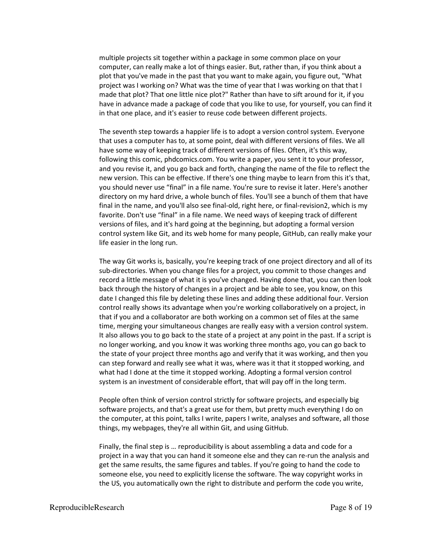multiple projects sit together within a package in some common place on your computer, can really make a lot of things easier. But, rather than, if you think about a plot that you've made in the past that you want to make again, you figure out, "What project was I working on? What was the time of year that I was working on that that I made that plot? That one little nice plot?" Rather than have to sift around for it, if you have in advance made a package of code that you like to use, for yourself, you can find it in that one place, and it's easier to reuse code between different projects.

The seventh step towards a happier life is to adopt a version control system. Everyone that uses a computer has to, at some point, deal with different versions of files. We all have some way of keeping track of different versions of files. Often, it's this way, following this comic, phdcomics.com. You write a paper, you sent it to your professor, and you revise it, and you go back and forth, changing the name of the file to reflect the new version. This can be effective. If there's one thing maybe to learn from this it's that, you should never use "final" in a file name. You're sure to revise it later. Here's another directory on my hard drive, a whole bunch of files. You'll see a bunch of them that have final in the name, and you'll also see final-old, right here, or final-revision2, which is my favorite. Don't use "final" in a file name. We need ways of keeping track of different versions of files, and it's hard going at the beginning, but adopting a formal version control system like Git, and its web home for many people, GitHub, can really make your life easier in the long run.

The way Git works is, basically, you're keeping track of one project directory and all of its sub-directories. When you change files for a project, you commit to those changes and record a little message of what it is you've changed. Having done that, you can then look back through the history of changes in a project and be able to see, you know, on this date I changed this file by deleting these lines and adding these additional four. Version control really shows its advantage when you're working collaboratively on a project, in that if you and a collaborator are both working on a common set of files at the same time, merging your simultaneous changes are really easy with a version control system. It also allows you to go back to the state of a project at any point in the past. If a script is no longer working, and you know it was working three months ago, you can go back to the state of your project three months ago and verify that it was working, and then you can step forward and really see what it was, where was it that it stopped working, and what had I done at the time it stopped working. Adopting a formal version control system is an investment of considerable effort, that will pay off in the long term.

People often think of version control strictly for software projects, and especially big software projects, and that's a great use for them, but pretty much everything I do on the computer, at this point, talks I write, papers I write, analyses and software, all those things, my webpages, they're all within Git, and using GitHub.

Finally, the final step is … reproducibility is about assembling a data and code for a project in a way that you can hand it someone else and they can re-run the analysis and get the same results, the same figures and tables. If you're going to hand the code to someone else, you need to explicitly license the software. The way copyright works in the US, you automatically own the right to distribute and perform the code you write,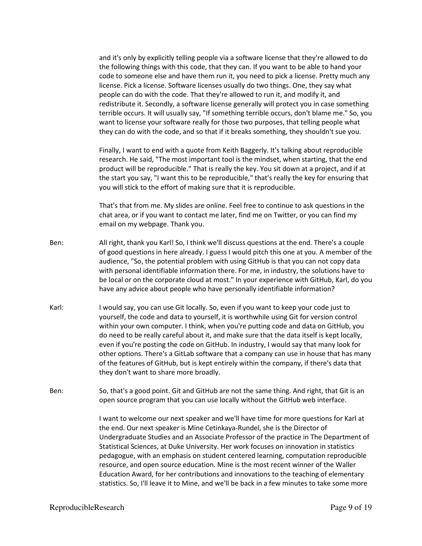and it's only by explicitly telling people via a software license that they're allowed to do the following things with this code, that they can. If you want to be able to hand your code to someone else and have them run it, you need to pick a license. Pretty much any license. Pick a license. Software licenses usually do two things. One, they say what people can do with the code. That they're allowed to run it, and modify it, and redistribute it. Secondly, a software license generally will protect you in case something terrible occurs. It will usually say, "If something terrible occurs, don't blame me." So, you want to license your software really for those two purposes, that telling people what they can do with the code, and so that if it breaks something, they shouldn't sue you.

Finally, I want to end with a quote from Keith Baggerly. It's talking about reproducible research. He said, "The most important tool is the mindset, when starting, that the end product will be reproducible." That is really the key. You sit down at a project, and if at the start you say, "I want this to be reproducible," that's really the key for ensuring that you will stick to the effort of making sure that it is reproducible.

That's that from me. My slides are online. Feel free to continue to ask questions in the chat area, or if you want to contact me later, find me on Twitter, or you can find my email on my webpage. Thank you.

- Ben: All right, thank you Karl! So, I think we'll discuss questions at the end. There's a couple of good questions in here already. I guess I would pitch this one at you. A member of the audience, "So, the potential problem with using GitHub is that you can not copy data with personal identifiable information there. For me, in industry, the solutions have to be local or on the corporate cloud at most." In your experience with GitHub, Karl, do you have any advice about people who have personally identifiable information?
- Karl: I would say, you can use Git locally. So, even if you want to keep your code just to yourself, the code and data to yourself, it is worthwhile using Git for version control within your own computer. I think, when you're putting code and data on GitHub, you do need to be really careful about it, and make sure that the data itself is kept locally, even if you're posting the code on GitHub. In industry, I would say that many look for other options. There's a GitLab software that a company can use in house that has many of the features of GitHub, but is kept entirely within the company, if there's data that they don't want to share more broadly.
- Ben: So, that's a good point. Git and GitHub are not the same thing. And right, that Git is an open source program that you can use locally without the GitHub web interface.

I want to welcome our next speaker and we'll have time for more questions for Karl at the end. Our next speaker is Mine Cetinkaya-Rundel, she is the Director of Undergraduate Studies and an Associate Professor of the practice in The Department of Statistical Sciences, at Duke University. Her work focuses on innovation in statistics pedagogue, with an emphasis on student centered learning, computation reproducible resource, and open source education. Mine is the most recent winner of the Waller Education Award, for her contributions and innovations to the teaching of elementary statistics. So, I'll leave it to Mine, and we'll be back in a few minutes to take some more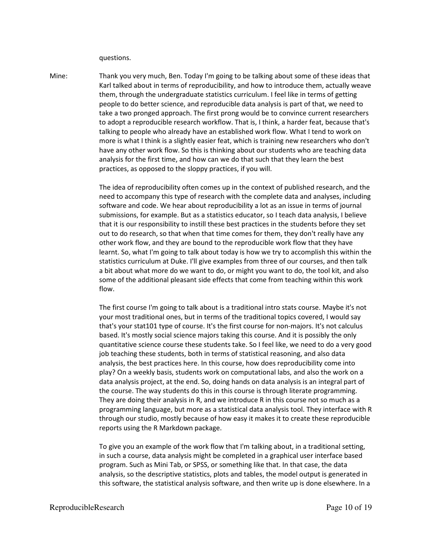questions.

Mine: Thank you very much, Ben. Today I'm going to be talking about some of these ideas that Karl talked about in terms of reproducibility, and how to introduce them, actually weave them, through the undergraduate statistics curriculum. I feel like in terms of getting people to do better science, and reproducible data analysis is part of that, we need to take a two pronged approach. The first prong would be to convince current researchers to adopt a reproducible research workflow. That is, I think, a harder feat, because that's talking to people who already have an established work flow. What I tend to work on more is what I think is a slightly easier feat, which is training new researchers who don't have any other work flow. So this is thinking about our students who are teaching data analysis for the first time, and how can we do that such that they learn the best practices, as opposed to the sloppy practices, if you will.

> The idea of reproducibility often comes up in the context of published research, and the need to accompany this type of research with the complete data and analyses, including software and code. We hear about reproducibility a lot as an issue in terms of journal submissions, for example. But as a statistics educator, so I teach data analysis, I believe that it is our responsibility to instill these best practices in the students before they set out to do research, so that when that time comes for them, they don't really have any other work flow, and they are bound to the reproducible work flow that they have learnt. So, what I'm going to talk about today is how we try to accomplish this within the statistics curriculum at Duke. I'll give examples from three of our courses, and then talk a bit about what more do we want to do, or might you want to do, the tool kit, and also some of the additional pleasant side effects that come from teaching within this work flow.

> The first course I'm going to talk about is a traditional intro stats course. Maybe it's not your most traditional ones, but in terms of the traditional topics covered, I would say that's your stat101 type of course. It's the first course for non-majors. It's not calculus based. It's mostly social science majors taking this course. And it is possibly the only quantitative science course these students take. So I feel like, we need to do a very good job teaching these students, both in terms of statistical reasoning, and also data analysis, the best practices here. In this course, how does reproducibility come into play? On a weekly basis, students work on computational labs, and also the work on a data analysis project, at the end. So, doing hands on data analysis is an integral part of the course. The way students do this in this course is through literate programming. They are doing their analysis in R, and we introduce R in this course not so much as a programming language, but more as a statistical data analysis tool. They interface with R through our studio, mostly because of how easy it makes it to create these reproducible reports using the R Markdown package.

> To give you an example of the work flow that I'm talking about, in a traditional setting, in such a course, data analysis might be completed in a graphical user interface based program. Such as Mini Tab, or SPSS, or something like that. In that case, the data analysis, so the descriptive statistics, plots and tables, the model output is generated in this software, the statistical analysis software, and then write up is done elsewhere. In a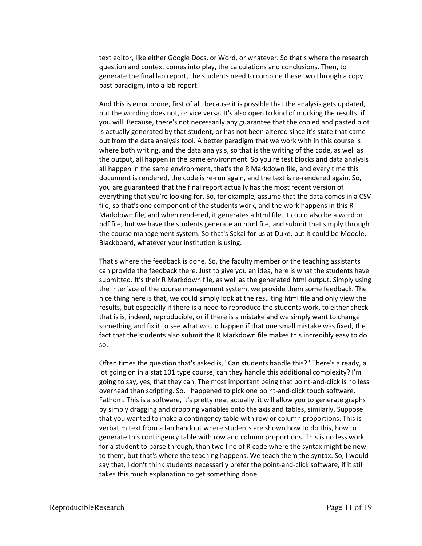text editor, like either Google Docs, or Word, or whatever. So that's where the research question and context comes into play, the calculations and conclusions. Then, to generate the final lab report, the students need to combine these two through a copy past paradigm, into a lab report.

And this is error prone, first of all, because it is possible that the analysis gets updated, but the wording does not, or vice versa. It's also open to kind of mucking the results, if you will. Because, there's not necessarily any guarantee that the copied and pasted plot is actually generated by that student, or has not been altered since it's state that came out from the data analysis tool. A better paradigm that we work with in this course is where both writing, and the data analysis, so that is the writing of the code, as well as the output, all happen in the same environment. So you're test blocks and data analysis all happen in the same environment, that's the R Markdown file, and every time this document is rendered, the code is re-run again, and the text is re-rendered again. So, you are guaranteed that the final report actually has the most recent version of everything that you're looking for. So, for example, assume that the data comes in a CSV file, so that's one component of the students work, and the work happens in this R Markdown file, and when rendered, it generates a html file. It could also be a word or pdf file, but we have the students generate an html file, and submit that simply through the course management system. So that's Sakai for us at Duke, but it could be Moodle, Blackboard, whatever your institution is using.

That's where the feedback is done. So, the faculty member or the teaching assistants can provide the feedback there. Just to give you an idea, here is what the students have submitted. It's their R Markdown file, as well as the generated html output. Simply using the interface of the course management system, we provide them some feedback. The nice thing here is that, we could simply look at the resulting html file and only view the results, but especially if there is a need to reproduce the students work, to either check that is is, indeed, reproducible, or if there is a mistake and we simply want to change something and fix it to see what would happen if that one small mistake was fixed, the fact that the students also submit the R Markdown file makes this incredibly easy to do so.

Often times the question that's asked is, "Can students handle this?" There's already, a lot going on in a stat 101 type course, can they handle this additional complexity? I'm going to say, yes, that they can. The most important being that point-and-click is no less overhead than scripting. So, I happened to pick one point-and-click touch software, Fathom. This is a software, it's pretty neat actually, it will allow you to generate graphs by simply dragging and dropping variables onto the axis and tables, similarly. Suppose that you wanted to make a contingency table with row or column proportions. This is verbatim text from a lab handout where students are shown how to do this, how to generate this contingency table with row and column proportions. This is no less work for a student to parse through, than two line of R code where the syntax might be new to them, but that's where the teaching happens. We teach them the syntax. So, I would say that, I don't think students necessarily prefer the point-and-click software, if it still takes this much explanation to get something done.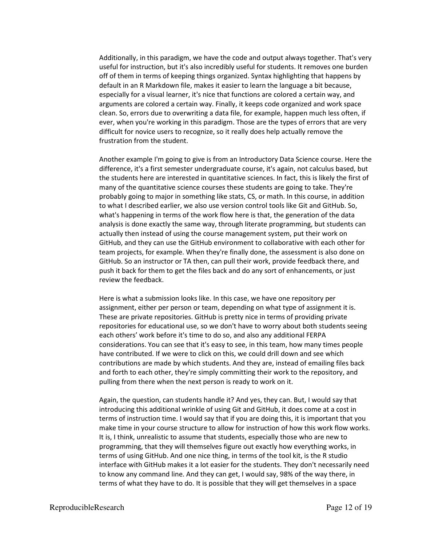Additionally, in this paradigm, we have the code and output always together. That's very useful for instruction, but it's also incredibly useful for students. It removes one burden off of them in terms of keeping things organized. Syntax highlighting that happens by default in an R Markdown file, makes it easier to learn the language a bit because, especially for a visual learner, it's nice that functions are colored a certain way, and arguments are colored a certain way. Finally, it keeps code organized and work space clean. So, errors due to overwriting a data file, for example, happen much less often, if ever, when you're working in this paradigm. Those are the types of errors that are very difficult for novice users to recognize, so it really does help actually remove the frustration from the student.

Another example I'm going to give is from an Introductory Data Science course. Here the difference, it's a first semester undergraduate course, it's again, not calculus based, but the students here are interested in quantitative sciences. In fact, this is likely the first of many of the quantitative science courses these students are going to take. They're probably going to major in something like stats, CS, or math. In this course, in addition to what I described earlier, we also use version control tools like Git and GitHub. So, what's happening in terms of the work flow here is that, the generation of the data analysis is done exactly the same way, through literate programming, but students can actually then instead of using the course management system, put their work on GitHub, and they can use the GitHub environment to collaborative with each other for team projects, for example. When they're finally done, the assessment is also done on GitHub. So an instructor or TA then, can pull their work, provide feedback there, and push it back for them to get the files back and do any sort of enhancements, or just review the feedback.

Here is what a submission looks like. In this case, we have one repository per assignment, either per person or team, depending on what type of assignment it is. These are private repositories. GitHub is pretty nice in terms of providing private repositories for educational use, so we don't have to worry about both students seeing each others' work before it's time to do so, and also any additional FERPA considerations. You can see that it's easy to see, in this team, how many times people have contributed. If we were to click on this, we could drill down and see which contributions are made by which students. And they are, instead of emailing files back and forth to each other, they're simply committing their work to the repository, and pulling from there when the next person is ready to work on it.

Again, the question, can students handle it? And yes, they can. But, I would say that introducing this additional wrinkle of using Git and GitHub, it does come at a cost in terms of instruction time. I would say that if you are doing this, it is important that you make time in your course structure to allow for instruction of how this work flow works. It is, I think, unrealistic to assume that students, especially those who are new to programming, that they will themselves figure out exactly how everything works, in terms of using GitHub. And one nice thing, in terms of the tool kit, is the R studio interface with GitHub makes it a lot easier for the students. They don't necessarily need to know any command line. And they can get, I would say, 98% of the way there, in terms of what they have to do. It is possible that they will get themselves in a space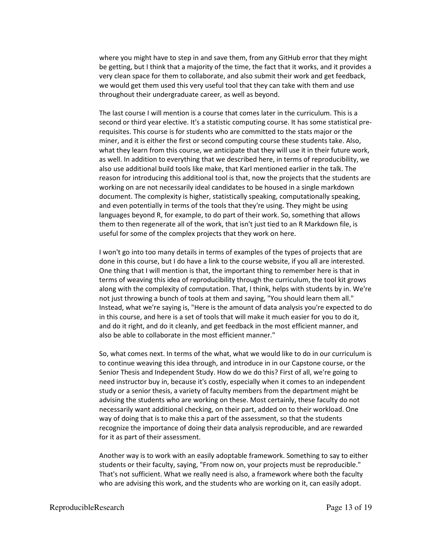where you might have to step in and save them, from any GitHub error that they might be getting, but I think that a majority of the time, the fact that it works, and it provides a very clean space for them to collaborate, and also submit their work and get feedback, we would get them used this very useful tool that they can take with them and use throughout their undergraduate career, as well as beyond.

The last course I will mention is a course that comes later in the curriculum. This is a second or third year elective. It's a statistic computing course. It has some statistical prerequisites. This course is for students who are committed to the stats major or the miner, and it is either the first or second computing course these students take. Also, what they learn from this course, we anticipate that they will use it in their future work, as well. In addition to everything that we described here, in terms of reproducibility, we also use additional build tools like make, that Karl mentioned earlier in the talk. The reason for introducing this additional tool is that, now the projects that the students are working on are not necessarily ideal candidates to be housed in a single markdown document. The complexity is higher, statistically speaking, computationally speaking, and even potentially in terms of the tools that they're using. They might be using languages beyond R, for example, to do part of their work. So, something that allows them to then regenerate all of the work, that isn't just tied to an R Markdown file, is useful for some of the complex projects that they work on here.

I won't go into too many details in terms of examples of the types of projects that are done in this course, but I do have a link to the course website, if you all are interested. One thing that I will mention is that, the important thing to remember here is that in terms of weaving this idea of reproducibility through the curriculum, the tool kit grows along with the complexity of computation. That, I think, helps with students by in. We're not just throwing a bunch of tools at them and saying, "You should learn them all." Instead, what we're saying is, "Here is the amount of data analysis you're expected to do in this course, and here is a set of tools that will make it much easier for you to do it, and do it right, and do it cleanly, and get feedback in the most efficient manner, and also be able to collaborate in the most efficient manner."

So, what comes next. In terms of the what, what we would like to do in our curriculum is to continue weaving this idea through, and introduce in in our Capstone course, or the Senior Thesis and Independent Study. How do we do this? First of all, we're going to need instructor buy in, because it's costly, especially when it comes to an independent study or a senior thesis, a variety of faculty members from the department might be advising the students who are working on these. Most certainly, these faculty do not necessarily want additional checking, on their part, added on to their workload. One way of doing that is to make this a part of the assessment, so that the students recognize the importance of doing their data analysis reproducible, and are rewarded for it as part of their assessment.

Another way is to work with an easily adoptable framework. Something to say to either students or their faculty, saying, "From now on, your projects must be reproducible." That's not sufficient. What we really need is also, a framework where both the faculty who are advising this work, and the students who are working on it, can easily adopt.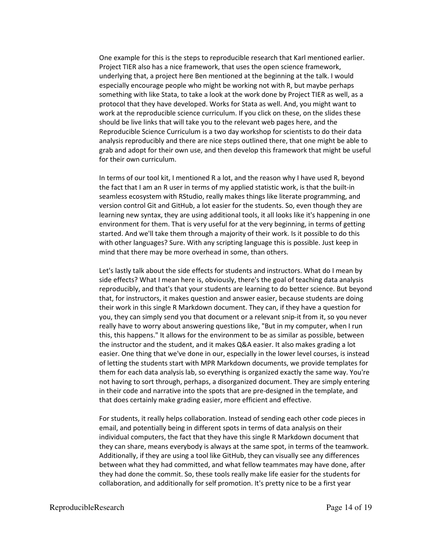One example for this is the steps to reproducible research that Karl mentioned earlier. Project TIER also has a nice framework, that uses the open science framework, underlying that, a project here Ben mentioned at the beginning at the talk. I would especially encourage people who might be working not with R, but maybe perhaps something with like Stata, to take a look at the work done by Project TIER as well, as a protocol that they have developed. Works for Stata as well. And, you might want to work at the reproducible science curriculum. If you click on these, on the slides these should be live links that will take you to the relevant web pages here, and the Reproducible Science Curriculum is a two day workshop for scientists to do their data analysis reproducibly and there are nice steps outlined there, that one might be able to grab and adopt for their own use, and then develop this framework that might be useful for their own curriculum.

In terms of our tool kit, I mentioned R a lot, and the reason why I have used R, beyond the fact that I am an R user in terms of my applied statistic work, is that the built-in seamless ecosystem with RStudio, really makes things like literate programming, and version control Git and GitHub, a lot easier for the students. So, even though they are learning new syntax, they are using additional tools, it all looks like it's happening in one environment for them. That is very useful for at the very beginning, in terms of getting started. And we'll take them through a majority of their work. Is it possible to do this with other languages? Sure. With any scripting language this is possible. Just keep in mind that there may be more overhead in some, than others.

Let's lastly talk about the side effects for students and instructors. What do I mean by side effects? What I mean here is, obviously, there's the goal of teaching data analysis reproducibly, and that's that your students are learning to do better science. But beyond that, for instructors, it makes question and answer easier, because students are doing their work in this single R Markdown document. They can, if they have a question for you, they can simply send you that document or a relevant snip-it from it, so you never really have to worry about answering questions like, "But in my computer, when I run this, this happens." It allows for the environment to be as similar as possible, between the instructor and the student, and it makes Q&A easier. It also makes grading a lot easier. One thing that we've done in our, especially in the lower level courses, is instead of letting the students start with MPR Markdown documents, we provide templates for them for each data analysis lab, so everything is organized exactly the same way. You're not having to sort through, perhaps, a disorganized document. They are simply entering in their code and narrative into the spots that are pre-designed in the template, and that does certainly make grading easier, more efficient and effective.

For students, it really helps collaboration. Instead of sending each other code pieces in email, and potentially being in different spots in terms of data analysis on their individual computers, the fact that they have this single R Markdown document that they can share, means everybody is always at the same spot, in terms of the teamwork. Additionally, if they are using a tool like GitHub, they can visually see any differences between what they had committed, and what fellow teammates may have done, after they had done the commit. So, these tools really make life easier for the students for collaboration, and additionally for self promotion. It's pretty nice to be a first year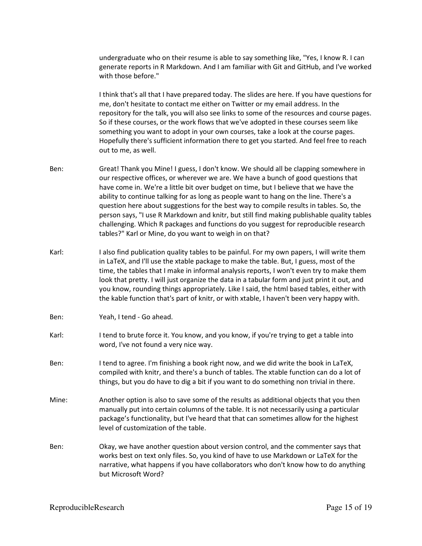undergraduate who on their resume is able to say something like, "Yes, I know R. I can generate reports in R Markdown. And I am familiar with Git and GitHub, and I've worked with those before."

I think that's all that I have prepared today. The slides are here. If you have questions for me, don't hesitate to contact me either on Twitter or my email address. In the repository for the talk, you will also see links to some of the resources and course pages. So if these courses, or the work flows that we've adopted in these courses seem like something you want to adopt in your own courses, take a look at the course pages. Hopefully there's sufficient information there to get you started. And feel free to reach out to me, as well.

- Ben: Great! Thank you Mine! I guess, I don't know. We should all be clapping somewhere in our respective offices, or wherever we are. We have a bunch of good questions that have come in. We're a little bit over budget on time, but I believe that we have the ability to continue talking for as long as people want to hang on the line. There's a question here about suggestions for the best way to compile results in tables. So, the person says, "I use R Markdown and knitr, but still find making publishable quality tables challenging. Which R packages and functions do you suggest for reproducible research tables?" Karl or Mine, do you want to weigh in on that?
- Karl: I also find publication quality tables to be painful. For my own papers, I will write them in LaTeX, and I'll use the xtable package to make the table. But, I guess, most of the time, the tables that I make in informal analysis reports, I won't even try to make them look that pretty. I will just organize the data in a tabular form and just print it out, and you know, rounding things appropriately. Like I said, the html based tables, either with the kable function that's part of knitr, or with xtable, I haven't been very happy with.
- Ben: Yeah, I tend Go ahead.
- Karl: I tend to brute force it. You know, and you know, if you're trying to get a table into word, I've not found a very nice way.
- Ben: I tend to agree. I'm finishing a book right now, and we did write the book in LaTeX, compiled with knitr, and there's a bunch of tables. The xtable function can do a lot of things, but you do have to dig a bit if you want to do something non trivial in there.
- Mine: Another option is also to save some of the results as additional objects that you then manually put into certain columns of the table. It is not necessarily using a particular package's functionality, but I've heard that that can sometimes allow for the highest level of customization of the table.
- Ben: Okay, we have another question about version control, and the commenter says that works best on text only files. So, you kind of have to use Markdown or LaTeX for the narrative, what happens if you have collaborators who don't know how to do anything but Microsoft Word?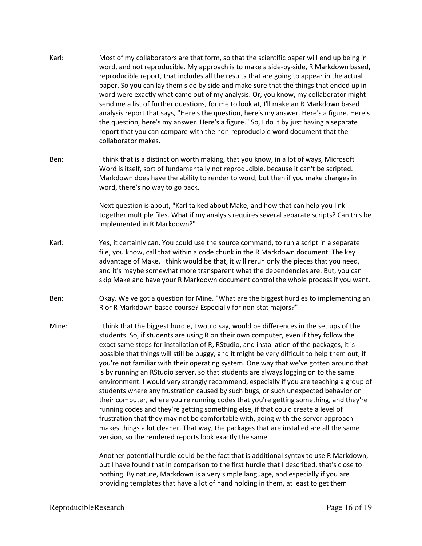- Karl: Most of my collaborators are that form, so that the scientific paper will end up being in word, and not reproducible. My approach is to make a side-by-side, R Markdown based, reproducible report, that includes all the results that are going to appear in the actual paper. So you can lay them side by side and make sure that the things that ended up in word were exactly what came out of my analysis. Or, you know, my collaborator might send me a list of further questions, for me to look at, I'll make an R Markdown based analysis report that says, "Here's the question, here's my answer. Here's a figure. Here's the question, here's my answer. Here's a figure." So, I do it by just having a separate report that you can compare with the non-reproducible word document that the collaborator makes.
- Ben: I think that is a distinction worth making, that you know, in a lot of ways, Microsoft Word is itself, sort of fundamentally not reproducible, because it can't be scripted. Markdown does have the ability to render to word, but then if you make changes in word, there's no way to go back.

Next question is about, "Karl talked about Make, and how that can help you link together multiple files. What if my analysis requires several separate scripts? Can this be implemented in R Markdown?"

- Karl: Yes, it certainly can. You could use the source command, to run a script in a separate file, you know, call that within a code chunk in the R Markdown document. The key advantage of Make, I think would be that, it will rerun only the pieces that you need, and it's maybe somewhat more transparent what the dependencies are. But, you can skip Make and have your R Markdown document control the whole process if you want.
- Ben: Okay. We've got a question for Mine. "What are the biggest hurdles to implementing an R or R Markdown based course? Especially for non-stat majors?"
- Mine: I think that the biggest hurdle, I would say, would be differences in the set ups of the students. So, if students are using R on their own computer, even if they follow the exact same steps for installation of R, RStudio, and installation of the packages, it is possible that things will still be buggy, and it might be very difficult to help them out, if you're not familiar with their operating system. One way that we've gotten around that is by running an RStudio server, so that students are always logging on to the same environment. I would very strongly recommend, especially if you are teaching a group of students where any frustration caused by such bugs, or such unexpected behavior on their computer, where you're running codes that you're getting something, and they're running codes and they're getting something else, if that could create a level of frustration that they may not be comfortable with, going with the server approach makes things a lot cleaner. That way, the packages that are installed are all the same version, so the rendered reports look exactly the same.

Another potential hurdle could be the fact that is additional syntax to use R Markdown, but I have found that in comparison to the first hurdle that I described, that's close to nothing. By nature, Markdown is a very simple language, and especially if you are providing templates that have a lot of hand holding in them, at least to get them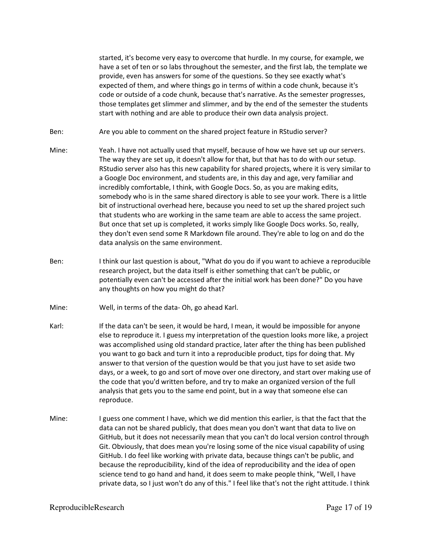started, it's become very easy to overcome that hurdle. In my course, for example, we have a set of ten or so labs throughout the semester, and the first lab, the template we provide, even has answers for some of the questions. So they see exactly what's expected of them, and where things go in terms of within a code chunk, because it's code or outside of a code chunk, because that's narrative. As the semester progresses, those templates get slimmer and slimmer, and by the end of the semester the students start with nothing and are able to produce their own data analysis project.

Ben: Are you able to comment on the shared project feature in RStudio server?

- Mine: Yeah. I have not actually used that myself, because of how we have set up our servers. The way they are set up, it doesn't allow for that, but that has to do with our setup. RStudio server also has this new capability for shared projects, where it is very similar to a Google Doc environment, and students are, in this day and age, very familiar and incredibly comfortable, I think, with Google Docs. So, as you are making edits, somebody who is in the same shared directory is able to see your work. There is a little bit of instructional overhead here, because you need to set up the shared project such that students who are working in the same team are able to access the same project. But once that set up is completed, it works simply like Google Docs works. So, really, they don't even send some R Markdown file around. They're able to log on and do the data analysis on the same environment.
- Ben: I think our last question is about, "What do you do if you want to achieve a reproducible research project, but the data itself is either something that can't be public, or potentially even can't be accessed after the initial work has been done?" Do you have any thoughts on how you might do that?
- Mine: Well, in terms of the data- Oh, go ahead Karl.
- Karl: If the data can't be seen, it would be hard, I mean, it would be impossible for anyone else to reproduce it. I guess my interpretation of the question looks more like, a project was accomplished using old standard practice, later after the thing has been published you want to go back and turn it into a reproducible product, tips for doing that. My answer to that version of the question would be that you just have to set aside two days, or a week, to go and sort of move over one directory, and start over making use of the code that you'd written before, and try to make an organized version of the full analysis that gets you to the same end point, but in a way that someone else can reproduce.
- Mine: I guess one comment I have, which we did mention this earlier, is that the fact that the data can not be shared publicly, that does mean you don't want that data to live on GitHub, but it does not necessarily mean that you can't do local version control through Git. Obviously, that does mean you're losing some of the nice visual capability of using GitHub. I do feel like working with private data, because things can't be public, and because the reproducibility, kind of the idea of reproducibility and the idea of open science tend to go hand and hand, it does seem to make people think, "Well, I have private data, so I just won't do any of this." I feel like that's not the right attitude. I think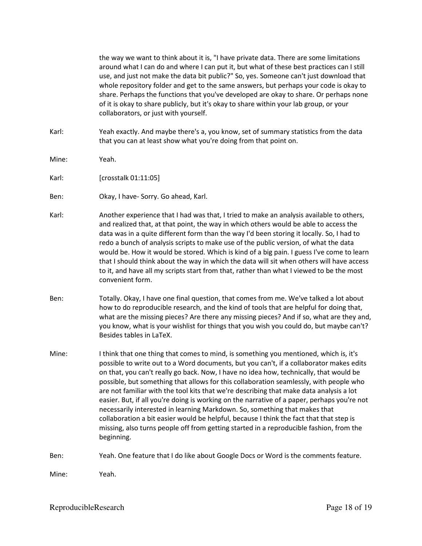the way we want to think about it is, "I have private data. There are some limitations around what I can do and where I can put it, but what of these best practices can I still use, and just not make the data bit public?" So, yes. Someone can't just download that whole repository folder and get to the same answers, but perhaps your code is okay to share. Perhaps the functions that you've developed are okay to share. Or perhaps none of it is okay to share publicly, but it's okay to share within your lab group, or your collaborators, or just with yourself.

- Karl: Yeah exactly. And maybe there's a, you know, set of summary statistics from the data that you can at least show what you're doing from that point on.
- Mine: Yeah.
- Karl: [crosstalk 01:11:05]
- Ben: Okay, I have- Sorry. Go ahead, Karl.
- Karl: Another experience that I had was that, I tried to make an analysis available to others, and realized that, at that point, the way in which others would be able to access the data was in a quite different form than the way I'd been storing it locally. So, I had to redo a bunch of analysis scripts to make use of the public version, of what the data would be. How it would be stored. Which is kind of a big pain. I guess I've come to learn that I should think about the way in which the data will sit when others will have access to it, and have all my scripts start from that, rather than what I viewed to be the most convenient form.
- Ben: Totally. Okay, I have one final question, that comes from me. We've talked a lot about how to do reproducible research, and the kind of tools that are helpful for doing that, what are the missing pieces? Are there any missing pieces? And if so, what are they and, you know, what is your wishlist for things that you wish you could do, but maybe can't? Besides tables in LaTeX.
- Mine: I think that one thing that comes to mind, is something you mentioned, which is, it's possible to write out to a Word documents, but you can't, if a collaborator makes edits on that, you can't really go back. Now, I have no idea how, technically, that would be possible, but something that allows for this collaboration seamlessly, with people who are not familiar with the tool kits that we're describing that make data analysis a lot easier. But, if all you're doing is working on the narrative of a paper, perhaps you're not necessarily interested in learning Markdown. So, something that makes that collaboration a bit easier would be helpful, because I think the fact that that step is missing, also turns people off from getting started in a reproducible fashion, from the beginning.

Ben: Yeah. One feature that I do like about Google Docs or Word is the comments feature.

Mine: Yeah.